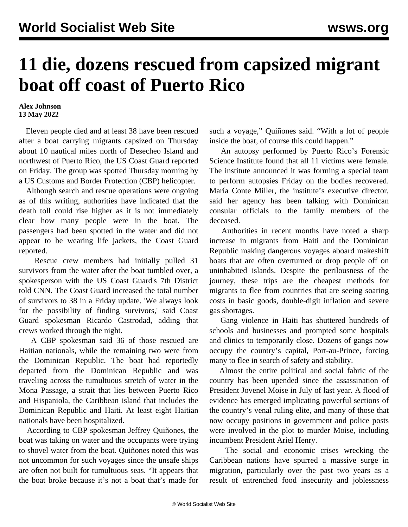## **11 die, dozens rescued from capsized migrant boat off coast of Puerto Rico**

## **Alex Johnson 13 May 2022**

 Eleven people died and at least 38 have been rescued after a boat carrying migrants capsized on Thursday about 10 nautical miles north of Desecheo Island and northwest of Puerto Rico, the US Coast Guard reported on Friday. The group was spotted Thursday morning by a US Customs and Border Protection (CBP) helicopter.

 Although search and rescue operations were ongoing as of this writing, authorities have indicated that the death toll could rise higher as it is not immediately clear how many people were in the boat. The passengers had been spotted in the water and did not appear to be wearing life jackets, the Coast Guard reported.

 Rescue crew members had initially pulled 31 survivors from the water after the boat tumbled over, a spokesperson with the US Coast Guard's 7th District told CNN. The Coast Guard increased the total number of survivors to 38 in a Friday update. 'We always look for the possibility of finding survivors,' said Coast Guard spokesman Ricardo Castrodad, adding that crews worked through the night.

 A CBP spokesman said 36 of those rescued are Haitian nationals, while the remaining two were from the Dominican Republic. The boat had reportedly departed from the Dominican Republic and was traveling across the tumultuous stretch of water in the Mona Passage, a strait that lies between Puerto Rico and Hispaniola, the Caribbean island that includes the Dominican Republic and Haiti. At least eight Haitian nationals have been hospitalized.

 According to CBP spokesman Jeffrey Quiñones, the boat was taking on water and the occupants were trying to shovel water from the boat. Quiñones noted this was not uncommon for such voyages since the unsafe ships are often not built for tumultuous seas. "It appears that the boat broke because it's not a boat that's made for such a voyage," Quiñones said. "With a lot of people inside the boat, of course this could happen."

 An autopsy performed by Puerto Rico's Forensic Science Institute found that all 11 victims were female. The institute announced it was forming a special team to perform autopsies Friday on the bodies recovered. María Conte Miller, the institute's executive director, said her agency has been talking with Dominican consular officials to the family members of the deceased.

 Authorities in recent months have noted a sharp increase in migrants from Haiti and the Dominican Republic making dangerous voyages aboard makeshift boats that are often overturned or drop people off on uninhabited islands. Despite the perilousness of the journey, these trips are the cheapest methods for migrants to flee from countries that are seeing soaring costs in basic goods, double-digit inflation and severe gas shortages.

 Gang violence in Haiti has shuttered hundreds of schools and businesses and prompted some hospitals and clinics to temporarily close. Dozens of gangs now occupy the country's capital, Port-au-Prince, forcing many to flee in search of safety and stability.

 Almost the entire political and social fabric of the country has been upended since the assassination of President Jovenel Moise in July of last year. A flood of evidence has emerged implicating powerful sections of the country's venal ruling elite, and many of those that now occupy positions in government and police posts were involved in the plot to murder Moise, including incumbent President Ariel Henry.

 The social and economic crises wrecking the Caribbean nations have spurred a massive surge in migration, particularly over the past two years as a result of entrenched food insecurity and joblessness